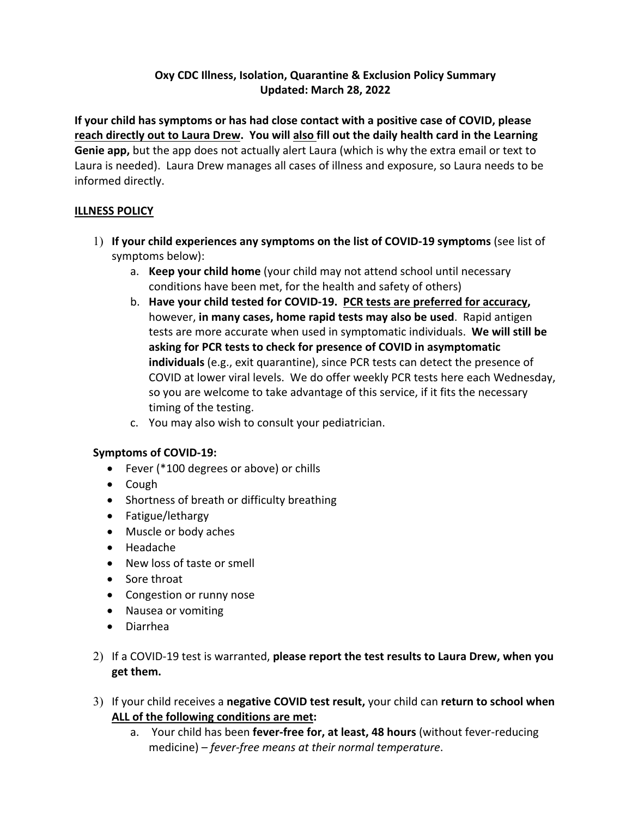#### **Oxy CDC Illness, Isolation, Quarantine & Exclusion Policy Summary Updated: March 28, 2022**

**If your child has symptoms or has had close contact with a positive case of COVID, please reach directly out to Laura Drew. You will also fill out the daily health card in the Learning Genie app,** but the app does not actually alert Laura (which is why the extra email or text to Laura is needed). Laura Drew manages all cases of illness and exposure, so Laura needs to be informed directly.

#### **ILLNESS POLICY**

- 1) **If your child experiences any symptoms on the list of COVID-19 symptoms** (see list of symptoms below):
	- a. **Keep your child home** (your child may not attend school until necessary conditions have been met, for the health and safety of others)
	- b. **Have your child tested for COVID-19. PCR tests are preferred for accuracy,**  however, **in many cases, home rapid tests may also be used**. Rapid antigen tests are more accurate when used in symptomatic individuals. **We will still be asking for PCR tests to check for presence of COVID in asymptomatic individuals** (e.g., exit quarantine), since PCR tests can detect the presence of COVID at lower viral levels. We do offer weekly PCR tests here each Wednesday, so you are welcome to take advantage of this service, if it fits the necessary timing of the testing.
	- c. You may also wish to consult your pediatrician.

#### **Symptoms of COVID-19:**

- Fever (\*100 degrees or above) or chills
- Cough
- Shortness of breath or difficulty breathing
- Fatigue/lethargy
- Muscle or body aches
- Headache
- New loss of taste or smell
- Sore throat
- Congestion or runny nose
- Nausea or vomiting
- Diarrhea
- 2) If a COVID-19 test is warranted, **please report the test results to Laura Drew, when you get them.**
- 3) If your child receives a **negative COVID test result,** your child can **return to school when ALL of the following conditions are met:**
	- a. Your child has been **fever-free for, at least, 48 hours** (without fever-reducing medicine) – *fever-free means at their normal temperature*.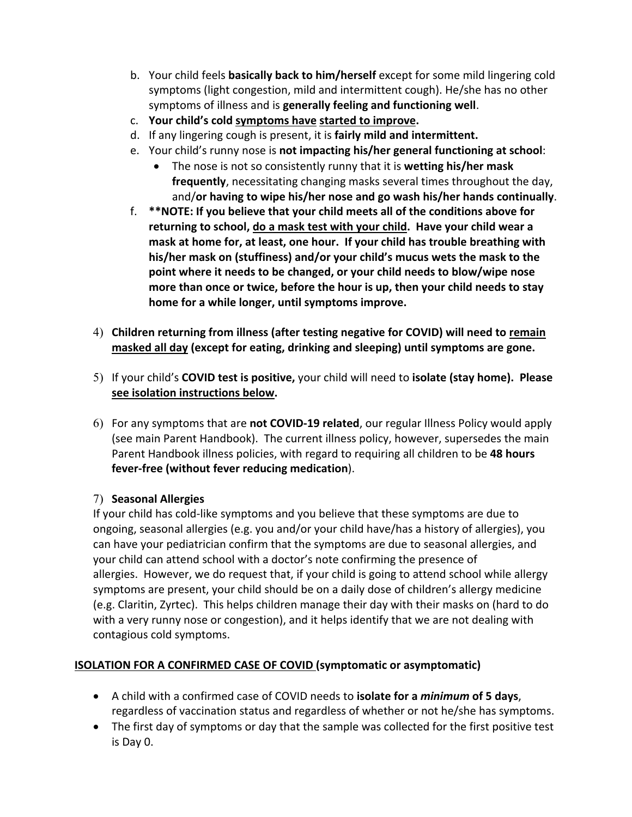- b. Your child feels **basically back to him/herself** except for some mild lingering cold symptoms (light congestion, mild and intermittent cough). He/she has no other symptoms of illness and is **generally feeling and functioning well**.
- c. **Your child's cold symptoms have started to improve.**
- d. If any lingering cough is present, it is **fairly mild and intermittent.**
- e. Your child's runny nose is **not impacting his/her general functioning at school**:
	- The nose is not so consistently runny that it is **wetting his/her mask frequently**, necessitating changing masks several times throughout the day, and/**or having to wipe his/her nose and go wash his/her hands continually**.
- f. **\*\*NOTE: If you believe that your child meets all of the conditions above for returning to school, do a mask test with your child. Have your child wear a mask at home for, at least, one hour. If your child has trouble breathing with his/her mask on (stuffiness) and/or your child's mucus wets the mask to the point where it needs to be changed, or your child needs to blow/wipe nose more than once or twice, before the hour is up, then your child needs to stay home for a while longer, until symptoms improve.**
- 4) **Children returning from illness (after testing negative for COVID) will need to remain masked all day (except for eating, drinking and sleeping) until symptoms are gone.**
- 5) If your child's **COVID test is positive,** your child will need to **isolate (stay home). Please see isolation instructions below.**
- 6) For any symptoms that are **not COVID-19 related**, our regular Illness Policy would apply (see main Parent Handbook). The current illness policy, however, supersedes the main Parent Handbook illness policies, with regard to requiring all children to be **48 hours fever-free (without fever reducing medication**).

### 7) **Seasonal Allergies**

If your child has cold-like symptoms and you believe that these symptoms are due to ongoing, seasonal allergies (e.g. you and/or your child have/has a history of allergies), you can have your pediatrician confirm that the symptoms are due to seasonal allergies, and your child can attend school with a doctor's note confirming the presence of allergies. However, we do request that, if your child is going to attend school while allergy symptoms are present, your child should be on a daily dose of children's allergy medicine (e.g. Claritin, Zyrtec). This helps children manage their day with their masks on (hard to do with a very runny nose or congestion), and it helps identify that we are not dealing with contagious cold symptoms.

### **ISOLATION FOR A CONFIRMED CASE OF COVID (symptomatic or asymptomatic)**

- A child with a confirmed case of COVID needs to **isolate for a** *minimum* **of 5 days**, regardless of vaccination status and regardless of whether or not he/she has symptoms.
- The first day of symptoms or day that the sample was collected for the first positive test is Day 0.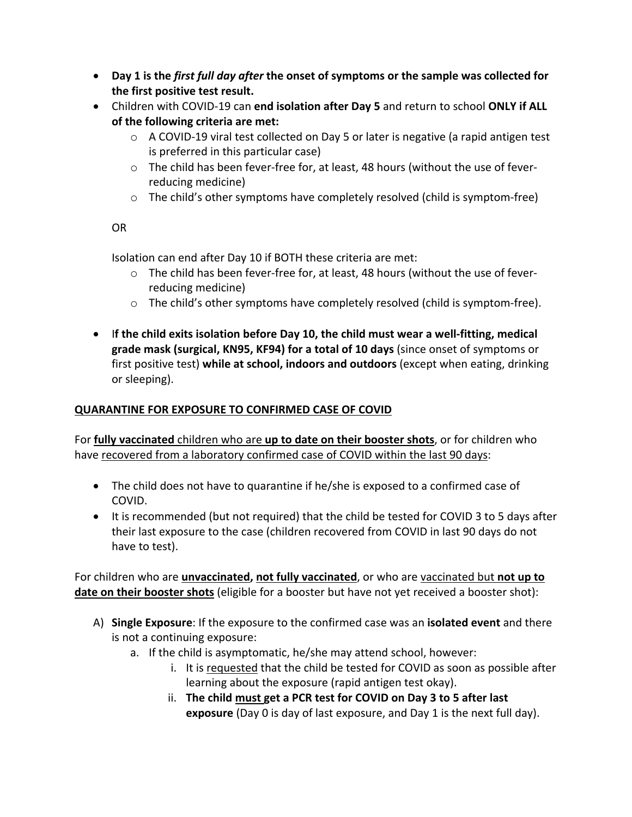- **Day 1 is the** *first full day after* **the onset of symptoms or the sample was collected for the first positive test result.**
- Children with COVID-19 can **end isolation after Day 5** and return to school **ONLY if ALL of the following criteria are met:** 
	- $\circ$  A COVID-19 viral test collected on Day 5 or later is negative (a rapid antigen test is preferred in this particular case)
	- $\circ$  The child has been fever-free for, at least, 48 hours (without the use of feverreducing medicine)
	- $\circ$  The child's other symptoms have completely resolved (child is symptom-free)

#### OR

Isolation can end after Day 10 if BOTH these criteria are met:

- $\circ$  The child has been fever-free for, at least, 48 hours (without the use of feverreducing medicine)
- o The child's other symptoms have completely resolved (child is symptom-free).
- I**f the child exits isolation before Day 10, the child must wear a well-fitting, medical grade mask (surgical, KN95, KF94) for a total of 10 days** (since onset of symptoms or first positive test) **while at school, indoors and outdoors** (except when eating, drinking or sleeping).

#### **QUARANTINE FOR EXPOSURE TO CONFIRMED CASE OF COVID**

For **fully vaccinated** children who are **up to date on their booster shots**, or for children who have recovered from a laboratory confirmed case of COVID within the last 90 days:

- The child does not have to quarantine if he/she is exposed to a confirmed case of COVID.
- It is recommended (but not required) that the child be tested for COVID 3 to 5 days after their last exposure to the case (children recovered from COVID in last 90 days do not have to test).

For children who are **unvaccinated, not fully vaccinated**, or who are vaccinated but **not up to date on their booster shots** (eligible for a booster but have not yet received a booster shot):

- A) **Single Exposure**: If the exposure to the confirmed case was an **isolated event** and there is not a continuing exposure:
	- a. If the child is asymptomatic, he/she may attend school, however:
		- i. It is requested that the child be tested for COVID as soon as possible after learning about the exposure (rapid antigen test okay).
		- ii. **The child must get a PCR test for COVID on Day 3 to 5 after last exposure** (Day 0 is day of last exposure, and Day 1 is the next full day).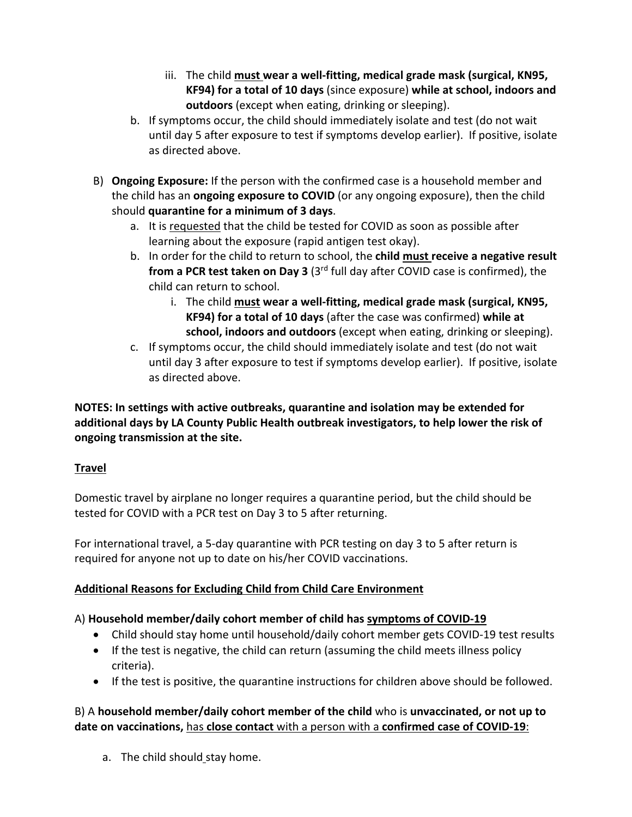- iii. The child **must wear a well-fitting, medical grade mask (surgical, KN95, KF94) for a total of 10 days** (since exposure) **while at school, indoors and outdoors** (except when eating, drinking or sleeping).
- b. If symptoms occur, the child should immediately isolate and test (do not wait until day 5 after exposure to test if symptoms develop earlier). If positive, isolate as directed above.
- B) **Ongoing Exposure:** If the person with the confirmed case is a household member and the child has an **ongoing exposure to COVID** (or any ongoing exposure), then the child should **quarantine for a minimum of 3 days**.
	- a. It is requested that the child be tested for COVID as soon as possible after learning about the exposure (rapid antigen test okay).
	- b. In order for the child to return to school, the **child must receive a negative result from a PCR test taken on Day 3** (3rd full day after COVID case is confirmed), the child can return to school.
		- i. The child **must wear a well-fitting, medical grade mask (surgical, KN95, KF94) for a total of 10 days** (after the case was confirmed) **while at school, indoors and outdoors** (except when eating, drinking or sleeping).
	- c. If symptoms occur, the child should immediately isolate and test (do not wait until day 3 after exposure to test if symptoms develop earlier). If positive, isolate as directed above.

**NOTES: In settings with active outbreaks, quarantine and isolation may be extended for additional days by LA County Public Health outbreak investigators, to help lower the risk of ongoing transmission at the site.**

### **Travel**

Domestic travel by airplane no longer requires a quarantine period, but the child should be tested for COVID with a PCR test on Day 3 to 5 after returning.

For international travel, a 5-day quarantine with PCR testing on day 3 to 5 after return is required for anyone not up to date on his/her COVID vaccinations.

# **Additional Reasons for Excluding Child from Child Care Environment**

# A) **Household member/daily cohort member of child has symptoms of COVID-19**

- Child should stay home until household/daily cohort member gets COVID-19 test results
- If the test is negative, the child can return (assuming the child meets illness policy criteria).
- If the test is positive, the quarantine instructions for children above should be followed.

### B) A **household member/daily cohort member of the child** who is **unvaccinated, or not up to date on vaccinations,** has **close contact** with a person with a **confirmed case of COVID-19**:

a. The child should stay home.